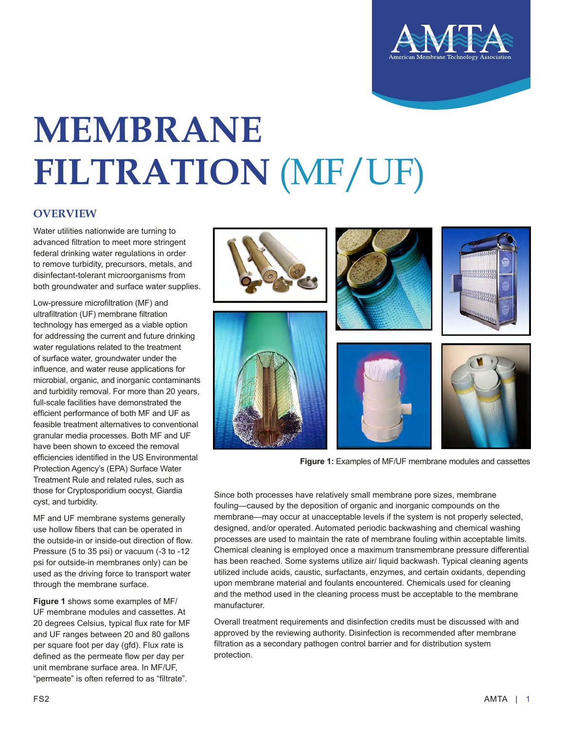

## **MEMBRANE FILTRATION** (MF/UF)

## **OVERVIEW**

Water utilities nationwide are turning to advanced filtration to meet more stringent federal drinking water regulations in order to remove turbidity, precursors, metals, and disinfectant-tolerant microorganisms from both groundwater and surface water supplies.

Low-pressure microfiltration (MF) and ultrafiltration (UF) membrane filtration technology has emerged as a viable option for addressing the current and future drinking water regulations related to the treatment of surface water, groundwater under the influence, and water reuse applications for microbial, organic, and inorganic contaminants and turbidity removal. For more than 20 years, full-scale facilities have demonstrated the efficient performance of both MF and UF as feasible treatment alternatives to conventional granular media processes. Both MF and UF have been shown to exceed the removal efficiencies identified in the US Environmental Protection Agency's (EPA) Surface Water Treatment Rule and related rules, such as those for Cryptosporidium oocyst, Giardia cyst, and turbidity.

MF and UF membrane systems generally use hollow fibers that can be operated in the outside-in or inside-out direction of flow. Pressure (5 to 35 psi) or vacuum (-3 to -12 psi for outside-in membranes only) can be used as the driving force to transport water through the membrane surface.

**Figure 1** shows some examples of MF/ UF membrane modules and cassettes. At 20 degrees Celsius, typical flux rate for MF and UF ranges between 20 and 80 gallons per square foot per day (gfd). Flux rate is defined as the permeate flow per day per unit membrane surface area. In MF/UF, "permeate" is often referred to as "filtrate".



Since both processes have relatively small membrane pore sizes, membrane fouling—caused by the deposition of organic and inorganic compounds on the membrane—may occur at unacceptable levels if the system is not properly selected, designed, and/or operated. Automated periodic backwashing and chemical washing processes are used to maintain the rate of membrane fouling within acceptable limits. Chemical cleaning is employed once a maximum transmembrane pressure differential has been reached. Some systems utilize air/ liquid backwash. Typical cleaning agents utilized include acids, caustic, surfactants, enzymes, and certain oxidants, depending upon membrane material and foulants encountered. Chemicals used for cleaning and the method used in the cleaning process must be acceptable to the membrane manufacturer.

Overall treatment requirements and disinfection credits must be discussed with and approved by the reviewing authority. Disinfection is recommended after membrane filtration as a secondary pathogen control barrier and for distribution system protection.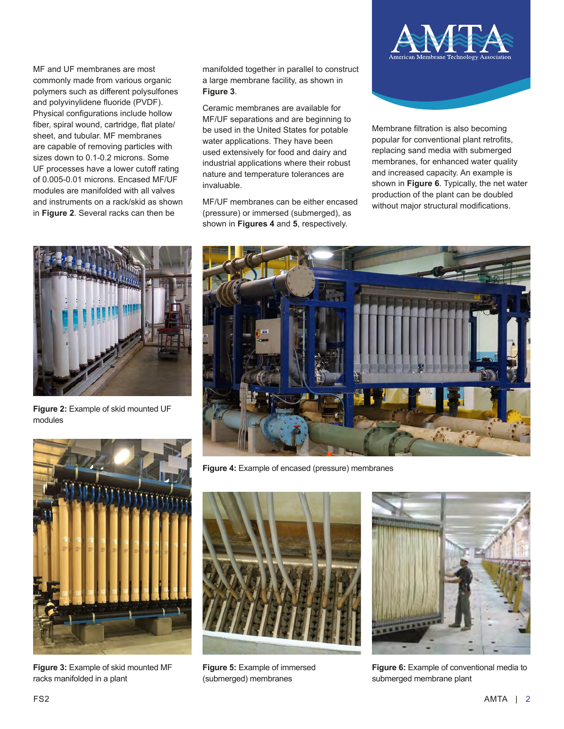MF and UF membranes are most commonly made from various organic polymers such as different polysulfones and polyvinylidene fluoride (PVDF). Physical configurations include hollow fiber, spiral wound, cartridge, flat plate/ sheet, and tubular. MF membranes are capable of removing particles with sizes down to 0.1-0.2 microns. Some UF processes have a lower cutoff rating of 0.005-0.01 microns. Encased MF/UF modules are manifolded with all valves and instruments on a rack/skid as shown in **Figure 2**. Several racks can then be

manifolded together in parallel to construct a large membrane facility, as shown in **Figure 3**.

Ceramic membranes are available for MF/UF separations and are beginning to be used in the United States for potable water applications. They have been used extensively for food and dairy and industrial applications where their robust nature and temperature tolerances are invaluable.

MF/UF membranes can be either encased (pressure) or immersed (submerged), as shown in **Figures 4** and **5**, respectively.



Membrane filtration is also becoming popular for conventional plant retrofits, replacing sand media with submerged membranes, for enhanced water quality and increased capacity. An example is shown in **Figure 6**. Typically, the net water production of the plant can be doubled without major structural modifications.



**Figure 2:** Example of skid mounted UF modules







**Figure 3: Example of skid mounted MF** racks manifolded in a plant



**Figure 5:** Example of immersed (submerged) membranes



**Figure 6:** Example of conventional media to submerged membrane plant